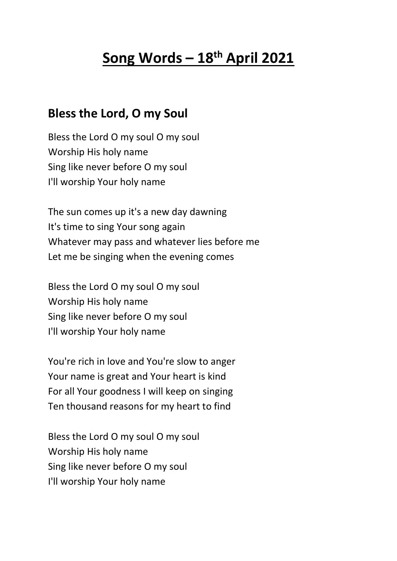## **Song Words – 18th April 2021**

## **Bless the Lord, O my Soul**

Bless the Lord O my soul O my soul Worship His holy name Sing like never before O my soul I'll worship Your holy name

The sun comes up it's a new day dawning It's time to sing Your song again Whatever may pass and whatever lies before me Let me be singing when the evening comes

Bless the Lord O my soul O my soul Worship His holy name Sing like never before O my soul I'll worship Your holy name

You're rich in love and You're slow to anger Your name is great and Your heart is kind For all Your goodness I will keep on singing Ten thousand reasons for my heart to find

Bless the Lord O my soul O my soul Worship His holy name Sing like never before O my soul I'll worship Your holy name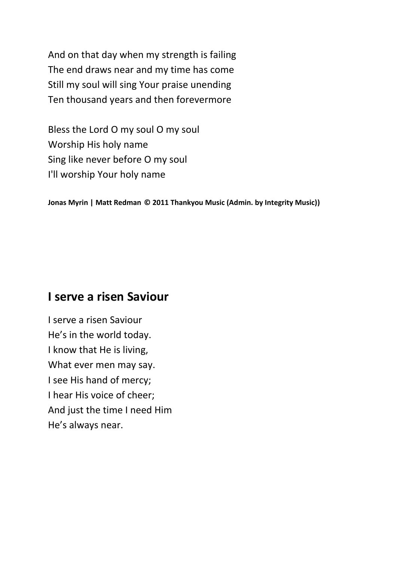And on that day when my strength is failing The end draws near and my time has come Still my soul will sing Your praise unending Ten thousand years and then forevermore

Bless the Lord O my soul O my soul Worship His holy name Sing like never before O my soul I'll worship Your holy name

**Jonas Myrin | Matt Redman © 2011 Thankyou Music (Admin. by Integrity Music))**

## **I serve a risen Saviour**

I serve a risen Saviour He's in the world today. I know that He is living, What ever men may say. I see His hand of mercy; I hear His voice of cheer; And just the time I need Him He's always near.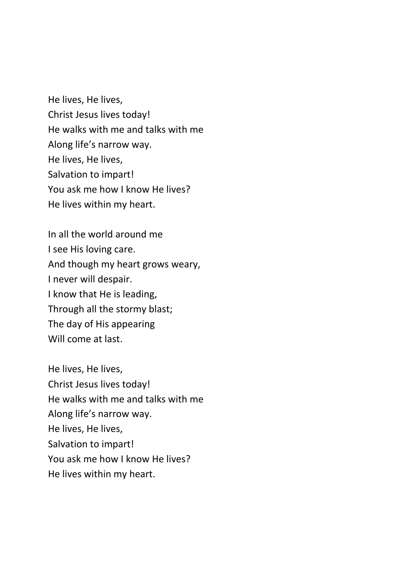He lives, He lives, Christ Jesus lives today! He walks with me and talks with me Along life's narrow way. He lives, He lives, Salvation to impart! You ask me how I know He lives? He lives within my heart.

In all the world around me I see His loving care. And though my heart grows weary, I never will despair. I know that He is leading, Through all the stormy blast; The day of His appearing Will come at last.

He lives, He lives, Christ Jesus lives today! He walks with me and talks with me Along life's narrow way. He lives, He lives, Salvation to impart! You ask me how I know He lives? He lives within my heart.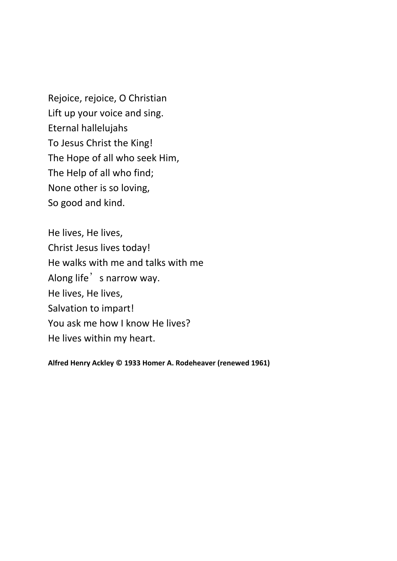Rejoice, rejoice, O Christian Lift up your voice and sing. Eternal hallelujahs To Jesus Christ the King! The Hope of all who seek Him, The Help of all who find; None other is so loving, So good and kind.

He lives, He lives, Christ Jesus lives today! He walks with me and talks with me Along life's narrow way. He lives, He lives, Salvation to impart! You ask me how I know He lives? He lives within my heart.

**Alfred Henry Ackley © 1933 Homer A. Rodeheaver (renewed 1961)**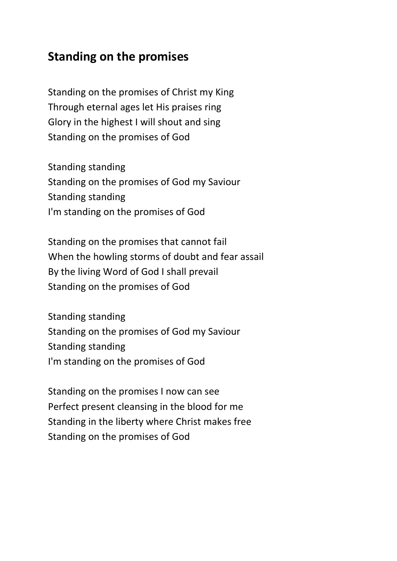## **Standing on the promises**

Standing on the promises of Christ my King Through eternal ages let His praises ring Glory in the highest I will shout and sing Standing on the promises of God

Standing standing Standing on the promises of God my Saviour Standing standing I'm standing on the promises of God

Standing on the promises that cannot fail When the howling storms of doubt and fear assail By the living Word of God I shall prevail Standing on the promises of God

Standing standing Standing on the promises of God my Saviour Standing standing I'm standing on the promises of God

Standing on the promises I now can see Perfect present cleansing in the blood for me Standing in the liberty where Christ makes free Standing on the promises of God